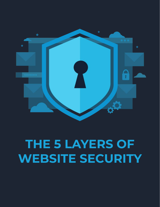

## **THE 5 LAYERS OF WEBSITE SECURITY**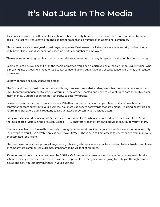### **It's Not Just In The Media**

As a business owner, you'll hear stories about website security breaches in the news on a more and more frequent basis. The last few years have brought significant breaches to a number of multinational companies.

Those breaches aren't resigned to just large companies. Businesses of all sizes face website security problems on a daily basis. There's no discrimination based on profits or number of employees.

There's one single thing that leads to more website security issues than anything else. It's the humble human being.

Seems hard to believe, doesn't it? In the media or movies, you'll see it portrayed as a "hacker" or an "evil intruder" who is breaking into a website. In reality, it's usually someone taking advantage of a security lapse, which was the result of human error.

So how do these security lapses take place?

The first and frankly most common cause is through an insecure website. Many websites run on what are known as CMS (Content Management System) platforms. These are self-hosted and need to be kept up to date through regular maintenance. Outdated code can be vulnerable to security threats.

Password security is crucial in your business. Whether that's internally within your team or if you have hired a contractor or team external to your business. You must use secure passwords that are unique. Re-using passwords or not running password audits regularly leaves an attack opportunity to malicious actors.

Every website should be using an SSL certificate right now. That's when your web address starts with HTTPS and there's a padlock visible in the browser. Using HTTPS encrypts website traffic and provides security to your visitors.

You may have heard of Firewalls previously, through your Internet provider or your home / business computer security. For a website, you'll use a Web Application Firewall (WAF). These help to limit access to your website from malicious or automated (bot) traffic.

The final issue comes through social engineering. Phishing attempts where attackers pretend to be a trusted employee or company are common. It's extremely important to be vigilant at all times.

It's important to note that you can never be 100% safe from security breaches in business. What you can do is take action to make your website and business as safe as possible. In this guide, we're going to walk you through common issues and how you can prevent these in your business.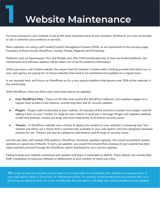### **1 Website Maintenance**

For most businesses, your website is one of the most important parts of your business. Without it, you may not be able to sell or advertise your products or services.

Many websites run using a self-hosted Content Management System (CMS), as we mentioned on the previous page. Examples of these include WordPress, Joomla, Drupal, Magento and Prestashop.

Platforms such as Squarespace, Wix and Shopify also offer CMS functionality but as they are hosted platforms, the maintenance and software updates will be taken care of by the platforms themselves.

When you have a self-hosted website, this means that the website is hosted with a hosting provider that either you or your web agency are paying for. It's these websites that need to be maintained and updated on a regular basis.

In our example here, we'll focus on WordPress as it's a very popular platform that powers over 35% of the websites in the world today.

With WordPress, there are three main areas that need to be updated:

- **Core WordPress Files** These are the files that control the WordPress software. Core updates happen on a regular basis to add in new features, provide bug fixes and for security updates.
- **Plugins -** Plugins add functionality to your website. An example of this could be a contact form plugin, used for adding a form on your 'Contact Us' page for your visitors to send you a message. Plugins are regularly updated to add new features, resolve any bugs and most importantly, to fix known security issues.
- **Themes** A WordPress website uses a theme to display the content on your website in a pleasing way. Your website will either use a theme that is commercially available or your web agency will have designed a bespoke solution for you. Themes will also be updated to add features and fix bugs or security issues.

Just like any other self-hosted CMS platform, WordPress should be updated regularly. We would recommend weekly updates as a good rule of thumb. To carry out updates, you would first ensure that a backup of your website has been taken and then proceed through the WordPress admin dashboard to carry out any updates.

Failing to keep your website maintained and updated will leave it vulnerable to attacks. These attacks can include data theft, installation of malicious software or defacement of your content, to name just a few.

**TIP:** Assign at least one member of your team to be responsible for maintaining your website on a regular basis. If your web agency offers a "Care Plan" or "Maintenance Plan", it's strongly recommended that you consider this, as it will bring you peace of mind. For a low monthly fee, the web agency will keep your website backed up and updated.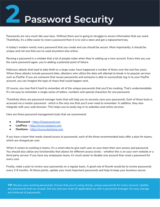# **2 Password Security**

Passwords are very much like your keys. Without them you're going to struggle to access information that you want. Thankfully, it's a little easier to reset a password than it is to visit a store and get a replacement key.

In today's modern world, every password that you create and use should be secure. More importantly, it should be unique and not one that you've used anywhere else online.

Reusing a password is a mistake that a lot of people make when they're setting up a new account. Every time you use the same password again, you're adding a potential point of failure.

Malicious attacks that lead to data theft on a large scale, have happened a number of times over the last few years. When these attacks include password data, attackers who utilize the data will attempt to break-in to popular services such as PayPal. If you are someone that reuses passwords and someone is able to successfully log-in to your PayPal account, you can imagine the type of chaos that could happen next.

Of course, you may find it hard to remember all of the unique passwords that you'll be creating. That's understandable. It's not easy to remember a single series of letters, numbers and special characters for one password.

Thankfully there are password manager tools that will help you to securely save your passwords. Each of these tools is accessed via a master password - which is the only one that you'll ever need to remember. In addition, they also integrate with your web browser. This helps you to easily log-in to websites and online services.

Here are three password management tools that we recommend:

- **1Password -** <https://1password.com>
- **LastPass -** <https://www.lastpass.com>
- **Dashlane -** <https://www.dashlane.com>

If you have a team that needs shared access to passwords, each of the three recommended tools offer a plan for teams, which are charged per user.

When it comes to working in teams, it's a smart idea to give each user on your team their own access and password. You should also utilize any functionality that allows for different access levels - whether this is on your own website or a third party service. If you have any employees leave, it's much easier to disable one account than reset a password for every user.

Finally, make a plan to review your passwords on a regular basis. A good rule of thumb would be to review passwords every 3-6 months. At these points, update your most important passwords and help to keep your business secure.

**TIP:** Review your existing passwords. Ensure that you're using strong, unique passwords for every account. Update any passwords that are reused. Set you and your team (if applicable) up with a password manager, for easy storage and retrieval of passwords.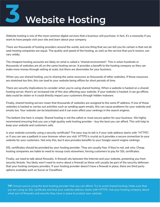## **3 Website Hosting**

Website hosting is one of the most common digital services that a business will purchase. In fact, it's a necessity if you want to have people visit your site and learn about your company.

There are thousands of hosting providers around the world, and one thing that we can tell you for certain is that not all web hosting companies are equal. The quality and speed of the hosting, as well as the service that you'll receive, can vary wildly.

The cheapest hosting accounts are likely on what is called a "shared environment". This is when hundreds or thousands of websites are all on the same hosting server. It provides a benefit to the hosting company as they can make more money through selling at scale, but there are downsides for your business.

When you use shared hosting, you're sharing the same resources as thousands of other websites. If those resources are stretched too thin, this can lead to your website being offline for short periods of time.

There are security implications to consider when you're using shared hosting. When a website is hacked on a shared hosting server, there's an increased risk of this also affecting your website. If your website is hacked, it can go offline, data could be stolen or it could directly impact your customers through hidden malware.

Finally, shared hosting servers mean that thousands of websites are assigned to the same IP address. If one of those websites is hacked or carries out activities such as sending spam emails, this can cause problems for your website and emails too. Your website can be blacklisted and it can even affect your rankings in the search engines.

The bottom line here is simple. Shared hosting is not the safest or most secure option for your business. We highly recommend ensuring that you use a high quality web hosting provider - buy the best you can afford. This will help to keep your website and customers safe.

Is your website currently using a security certificate? The easy way to tell is if your web address starts with "HTTPS", or if you can see a padlock in your browser when you visit. HTTPS is crucial as it provides a secure connection to your website for your customers. Not only this, but it also provides benefits to your Google search engine rankings.

SSL certificates should be provided by your hosting provider. They are usually free. If they're not, ask why. Cheap hosting companies are liable to need to recoup costs elsewhere, forcing customers to pay for SSL certificates.

Finally, we need to talk about firewalls. A firewall sits between the Internet and your website, protecting you from security threats. You likely won't need to worry about a firewall as these will usually be part of the security defenses that your hosting company provides. If your hosting provider doesn't have a firewall in place, there are third party options available such as Sucuri or Cloudflare.

**TIP:** Ensure you're using the best hosting provider that you can afford. Try to avoid shared hosting. Make sure that you are using an SSL certificate and that your website address starts with HTTPS. Ask your hosting company about what sort of firewalls and security they have in place to protect your website.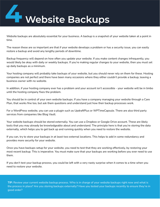# **4 Website Backups**

Website backups are absolutely essential for your business. A backup is a snapshot of your website taken at a point in time.

The reason these are so important are that if your website develops a problem or has a security issue, you can easily restore a backup and avoid any lengthy periods of downtime.

Backup frequency will depend on how often you update your website. If you make content changes infrequently, you would likely be okay with daily or weekly backups. If you're making regular changes to your website, then you must set up daily backups as a minimum.

Your hosting company will probably take backups of your website, but you should never rely on them for these. Hosting companies are not perfect and there have been many occasions where they either couldn't provide a backup, leaving a business owner with no website.

In addition, if your hosting company ever has a problem and your account isn't accessible - your website will be in limbo until the hosting company fixes the problem.

You should be in control of your own website backups. If you have a company managing your website through a Care Plan, that works fine too, but ask them questions and understand just how their backup processes work.

For a WordPress website, you can use a plugin such as UpdraftPlus or WPTimeCapsule. There are also third party services from companies like Blog Vault.

Your website backups should be stored externally. You can use a Dropbox or Google Drive account. These are likely tools that you may already be knowledgeable about and understand. The principle here is that you're storing the data externally, which helps you to get back up and running quickly when you need to restore the website.

If you can, try to store your backups in at least two external locations. This helps to add in some redundancy and provides more security for your website.

Once you have backups setup for your website, you need to test that they are working effectively, by restoring your most recent backup. This is imperative. You must make sure that your backups are working before you ever need to use them.

If you don't test your backup process, you could be left with a very nasty surprise when it comes to a time when you need to restore your website.

**TIP:** Review your current website backup process. Who is in charge of your website backups right now and what is the process in place? Are you storing backups externally? Have you tested your backups recently to ensure they're in good order?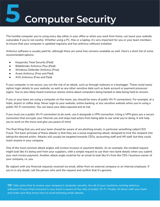## **5 Computer Security**

The humble computer you're using every day either in your office or when you work from home, can leave your website vulnerable if you're not careful. Whether using a PC, Mac or a laptop, it's very important for you or your team members to ensure that your computer is updated regularly and has antivirus software installed.

Antivirus software is usually paid for, although there are some free versions available as well. Here's a short list of some recommended options:

- Kaspersky Total Security (Paid)
- Bitdefender Antivirus Plus (Paid)
- Windows Defender Antivirus (Free)
- Avast Antivirus (Free and Paid)
- AVG Antivirus (Free and Paid)

If your computer is not secure, you run the risk of an attack, such as through malware or a keylogger. These could easily siphon login details to your website, as well as any other sensitive data such as bank account or payment processor logins. You've also likely heard numerous stories online about computers being hacked or data being held to ransom.

If you or your team are using a computer on the move, you should be wary of public Wi-Fi connections. For example, at a hotel, airport or coffee shop. Never login to your website, online banking, or any sensitive website when you're using a public Wi-Fi connection. You can leave your data exposed and at risk.

If you must use a public Wi-Fi connection to do work, use it alongside a VPN connection. Using a VPN gives you a secure connection that encrypts your Internet use and stops bad actors from being able to see what you're doing. It will help you to work on the move and give you peace of mind.

The final thing that you and your team should be aware of are phishing emails, in particular something called CEO Fraud. The basic principle of these attacks is that they are a social engineering attack, designed to trick the recipient into taking the desired action. Attacks will usually be targeted towards CEOs, accounting staff and HR staff, but they could reach anyone in your company.

One of the most common attack angles will involve invoices or payment details. As an example, the emailed request might look like it's being sent from your suppliers, with a simple request to use their new bank details when you submit your next invoice payment. Another attack angle could be for an email to look like it's from the CEO / business owner of your company, i.e. you.

Be vigilant with any financial requests received via email, either from an external company or an internal employee. If you're in any doubt, call the person who sent the request and confirm that it's genuine.

**TIP:** Take some time to review your company's computer security. Are all of your machines running antivirus software? Ensure that everyone in your team is aware of the risks of public Wi-Fi. Finally, sit down with your team and make sure they know how to avoid phishing email attacks.